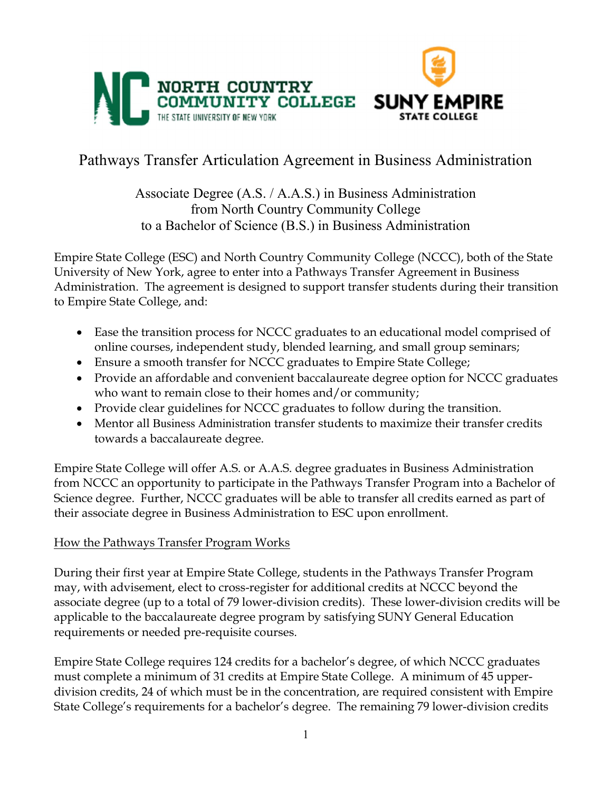

# Pathways Transfer Articulation Agreement in Business Administration

Associate Degree (A.S. / A.A.S.) in Business Administration from North Country Community College to a Bachelor of Science (B.S.) in Business Administration

Empire State College (ESC) and North Country Community College (NCCC), both of the State University of New York, agree to enter into a Pathways Transfer Agreement in Business Administration. The agreement is designed to support transfer students during their transition to Empire State College, and:

- Ease the transition process for NCCC graduates to an educational model comprised of online courses, independent study, blended learning, and small group seminars;
- Ensure a smooth transfer for NCCC graduates to Empire State College;
- Provide an affordable and convenient baccalaureate degree option for NCCC graduates who want to remain close to their homes and/or community;
- Provide clear guidelines for NCCC graduates to follow during the transition.
- Mentor all Business Administration transfer students to maximize their transfer credits towards a baccalaureate degree.

Empire State College will offer A.S. or A.A.S. degree graduates in Business Administration from NCCC an opportunity to participate in the Pathways Transfer Program into a Bachelor of Science degree. Further, NCCC graduates will be able to transfer all credits earned as part of their associate degree in Business Administration to ESC upon enrollment.

## How the Pathways Transfer Program Works

During their first year at Empire State College, students in the Pathways Transfer Program may, with advisement, elect to cross-register for additional credits at NCCC beyond the associate degree (up to a total of 79 lower-division credits). These lower-division credits will be applicable to the baccalaureate degree program by satisfying SUNY General Education requirements or needed pre-requisite courses.

Empire State College requires 124 credits for a bachelor's degree, of which NCCC graduates must complete a minimum of 31 credits at Empire State College. A minimum of 45 upperdivision credits, 24 of which must be in the concentration, are required consistent with Empire State College's requirements for a bachelor's degree. The remaining 79 lower-division credits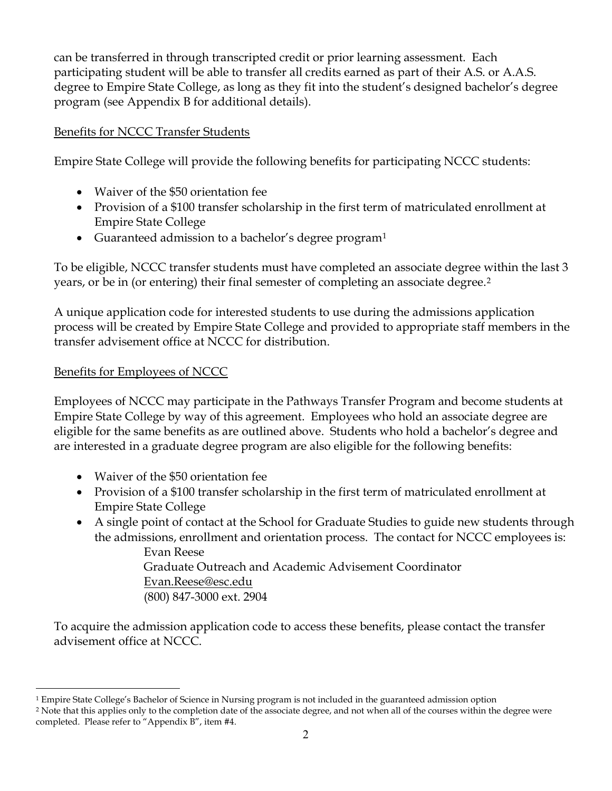can be transferred in through transcripted credit or prior learning assessment. Each participating student will be able to transfer all credits earned as part of their A.S. or A.A.S. degree to Empire State College, as long as they fit into the student's designed bachelor's degree program (see Appendix B for additional details).

## Benefits for NCCC Transfer Students

Empire State College will provide the following benefits for participating NCCC students:

- Waiver of the \$50 orientation fee
- Provision of a \$100 transfer scholarship in the first term of matriculated enrollment at Empire State College
- Guaranteed admission to a bachelor's degree program<sup>1</sup>

To be eligible, NCCC transfer students must have completed an associate degree within the last 3 years, or be in (or entering) their final semester of completing an associate degree.2

A unique application code for interested students to use during the admissions application process will be created by Empire State College and provided to appropriate staff members in the transfer advisement office at NCCC for distribution.

## Benefits for Employees of NCCC

Employees of NCCC may participate in the Pathways Transfer Program and become students at Empire State College by way of this agreement. Employees who hold an associate degree are eligible for the same benefits as are outlined above. Students who hold a bachelor's degree and are interested in a graduate degree program are also eligible for the following benefits:

- Waiver of the \$50 orientation fee
- Provision of a \$100 transfer scholarship in the first term of matriculated enrollment at Empire State College
- A single point of contact at the School for Graduate Studies to guide new students through the admissions, enrollment and orientation process. The contact for NCCC employees is:

 Evan Reese Graduate Outreach and Academic Advisement Coordinator Evan.Reese@esc.edu (800) 847-3000 ext. 2904

To acquire the admission application code to access these benefits, please contact the transfer advisement office at NCCC.

 $\overline{a}$ 1 Empire State College's Bachelor of Science in Nursing program is not included in the guaranteed admission option

<sup>&</sup>lt;sup>2</sup> Note that this applies only to the completion date of the associate degree, and not when all of the courses within the degree were completed. Please refer to "Appendix B", item #4.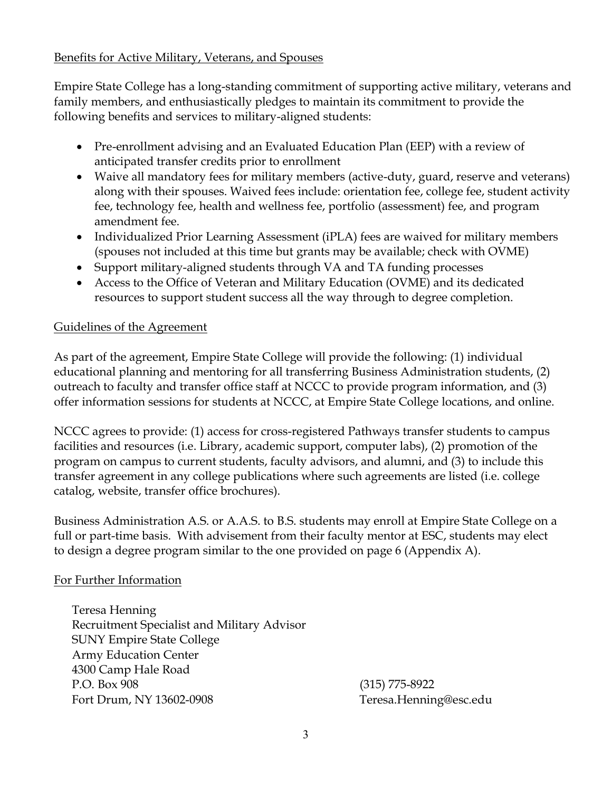## Benefits for Active Military, Veterans, and Spouses

Empire State College has a long-standing commitment of supporting active military, veterans and family members, and enthusiastically pledges to maintain its commitment to provide the following benefits and services to military-aligned students:

- Pre-enrollment advising and an Evaluated Education Plan (EEP) with a review of anticipated transfer credits prior to enrollment
- Waive all mandatory fees for military members (active-duty, guard, reserve and veterans) along with their spouses. Waived fees include: orientation fee, college fee, student activity fee, technology fee, health and wellness fee, portfolio (assessment) fee, and program amendment fee.
- Individualized Prior Learning Assessment (iPLA) fees are waived for military members (spouses not included at this time but grants may be available; check with OVME)
- Support military-aligned students through VA and TA funding processes
- Access to the Office of Veteran and Military Education (OVME) and its dedicated resources to support student success all the way through to degree completion.

## Guidelines of the Agreement

As part of the agreement, Empire State College will provide the following: (1) individual educational planning and mentoring for all transferring Business Administration students, (2) outreach to faculty and transfer office staff at NCCC to provide program information, and (3) offer information sessions for students at NCCC, at Empire State College locations, and online.

NCCC agrees to provide: (1) access for cross-registered Pathways transfer students to campus facilities and resources (i.e. Library, academic support, computer labs), (2) promotion of the program on campus to current students, faculty advisors, and alumni, and (3) to include this transfer agreement in any college publications where such agreements are listed (i.e. college catalog, website, transfer office brochures).

Business Administration A.S. or A.A.S. to B.S. students may enroll at Empire State College on a full or part-time basis. With advisement from their faculty mentor at ESC, students may elect to design a degree program similar to the one provided on page 6 (Appendix A).

### For Further Information

Teresa Henning Recruitment Specialist and Military Advisor SUNY Empire State College Army Education Center 4300 Camp Hale Road P.O. Box 908 (315) 775-8922 Fort Drum, NY 13602-0908 Teresa.Henning@esc.edu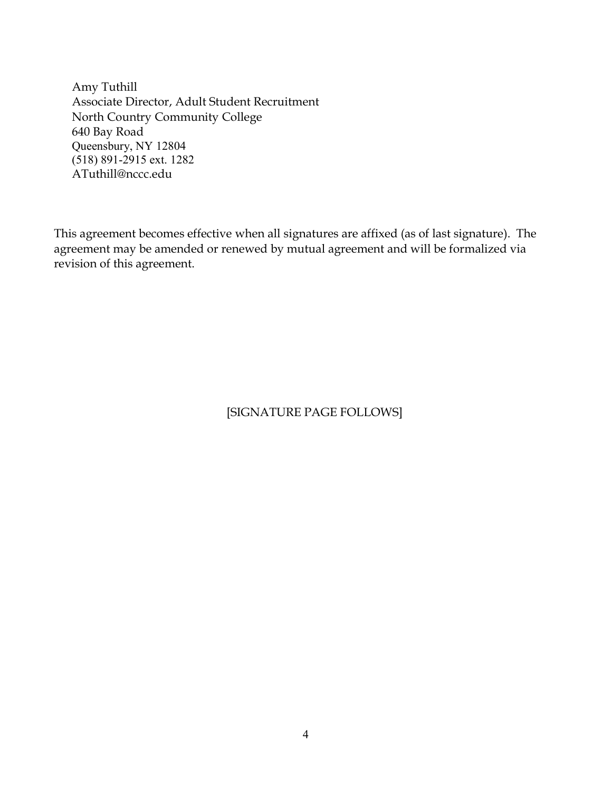Amy Tuthill Associate Director, Adult Student Recruitment North Country Community College 640 Bay Road Queensbury, NY 12804 (518) 891-2915 ext. 1282 ATuthill@nccc.edu

This agreement becomes effective when all signatures are affixed (as of last signature). The agreement may be amended or renewed by mutual agreement and will be formalized via revision of this agreement.

## [SIGNATURE PAGE FOLLOWS]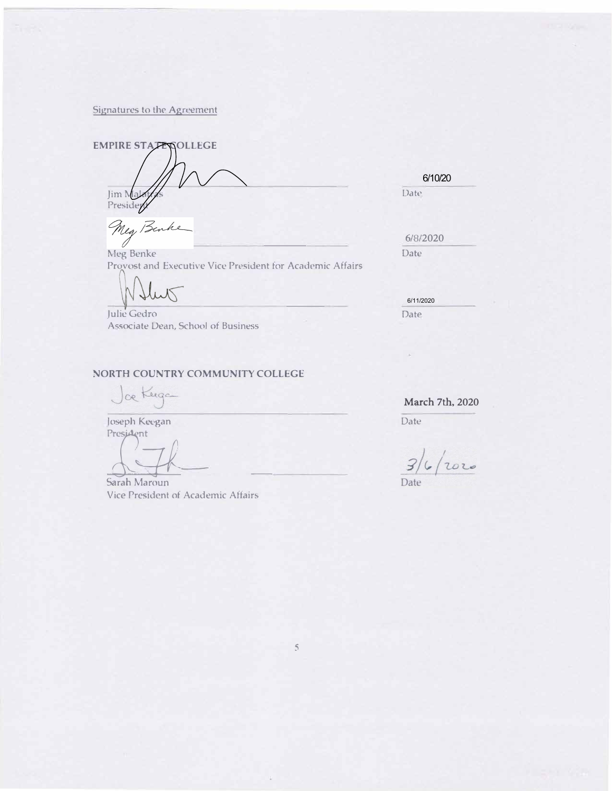Signatures to the Agreement

**EMPIRE STATE SOLLEGE** 1\/ Jim Malay / Solid Late Date Date Presideyy

Meg Be h

Example 1986 Meg Benke **Example 1986**<br>Example 1986 Date Provost and Executive Vice President for Academic Affairs

Julie Gedro **Date** Associate Dean, School of Business

#### NORTH COUNTRY COMMUNITY COLLEGE

ce Keega

Joseph Keegan President

BP§MoÊÉM«¢ÂÊ

Sarah Maroun Vice President of Academic Affairs

6/10/20

 $6/8/2020$ 

6/11/2020

 $\sim$ 

March 7th, 2020

Date

2020 Date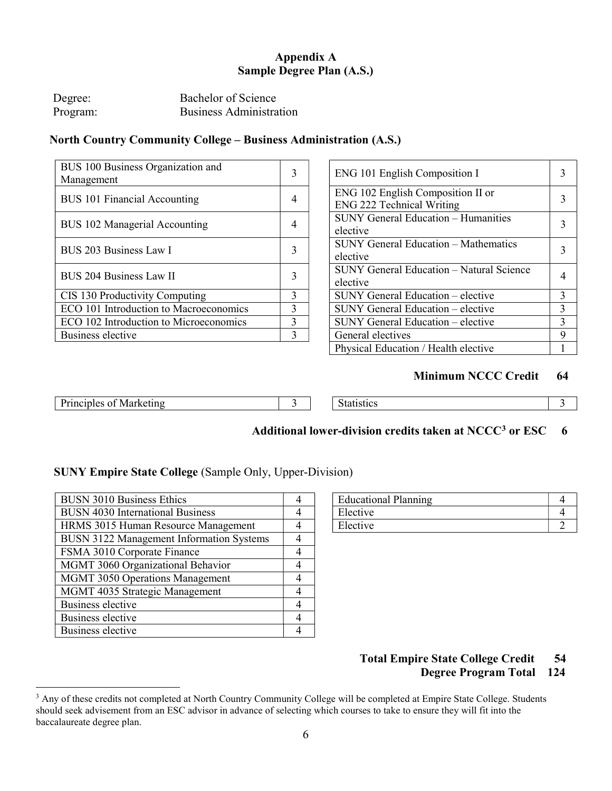### **Appendix A Sample Degree Plan (A.S.)**

| Degree:  | Bachelor of Science            |
|----------|--------------------------------|
| Program: | <b>Business Administration</b> |

### **North Country Community College – Business Administration (A.S.)**

| BUS 100 Business Organization and<br>Management |                | ENG 101 English Composition I                                         | 3              |
|-------------------------------------------------|----------------|-----------------------------------------------------------------------|----------------|
| <b>BUS 101 Financial Accounting</b>             | $\overline{4}$ | ENG 102 English Composition II or<br><b>ENG 222 Technical Writing</b> | 3              |
| BUS 102 Managerial Accounting                   | 4              | <b>SUNY General Education - Humanities</b><br>elective                | 3              |
| BUS 203 Business Law I                          |                | <b>SUNY General Education - Mathematics</b><br>elective               | 3              |
| BUS 204 Business Law II                         |                | SUNY General Education - Natural Science<br>elective                  | $\overline{4}$ |
| CIS 130 Productivity Computing                  | $\mathbf{3}$   | SUNY General Education - elective                                     | $\overline{3}$ |
| ECO 101 Introduction to Macroeconomics          | 3              | SUNY General Education – elective                                     | $\overline{3}$ |
| ECO 102 Introduction to Microeconomics          | 3              | SUNY General Education - elective                                     | 3              |
| Business elective                               |                | General electives                                                     | 9              |
|                                                 |                |                                                                       |                |

| BUS 100 Business Organization and<br>Management | 3 | ENG 101 English Composition I                                         |   |
|-------------------------------------------------|---|-----------------------------------------------------------------------|---|
| <b>BUS 101 Financial Accounting</b>             | 4 | ENG 102 English Composition II or<br><b>ENG 222 Technical Writing</b> |   |
| <b>BUS 102 Managerial Accounting</b>            | 4 | <b>SUNY General Education - Humanities</b><br>elective                |   |
| <b>BUS 203 Business Law I</b>                   | 3 | <b>SUNY General Education - Mathematics</b><br>elective               |   |
| <b>BUS 204 Business Law II</b>                  | 3 | SUNY General Education - Natural Science<br>elective                  |   |
| CIS 130 Productivity Computing                  | 3 | SUNY General Education – elective                                     | 3 |
| ECO 101 Introduction to Macroeconomics          | 3 | SUNY General Education – elective                                     | 3 |
| ECO 102 Introduction to Microeconomics          | 3 | SUNY General Education – elective                                     | 3 |
| <b>Business elective</b>                        | 3 | General electives                                                     | 9 |
|                                                 |   | Physical Education / Health elective                                  |   |

#### **Minimum NCCC Credit 64**

| $\sim$<br>レャッ<br>Instration<br>$\alpha$<br>IVIAI KELIHY<br>.<br>. | ''Stitu |  |
|-------------------------------------------------------------------|---------|--|
|                                                                   |         |  |

## **Additional lower-division credits taken at NCCC3 or ESC 6**

#### **SUNY Empire State College** (Sample Only, Upper-Division)

| <b>BUSN 3010 Business Ethics</b>         | 4 | <b>Educational Planning</b> |                |
|------------------------------------------|---|-----------------------------|----------------|
| <b>BUSN 4030 International Business</b>  | 4 | Elective                    | $\overline{4}$ |
| HRMS 3015 Human Resource Management      | 4 | Elective                    |                |
| BUSN 3122 Management Information Systems | 4 |                             |                |
| FSMA 3010 Corporate Finance              | 4 |                             |                |
| MGMT 3060 Organizational Behavior        | 4 |                             |                |
| <b>MGMT 3050 Operations Management</b>   | 4 |                             |                |
| MGMT 4035 Strategic Management           | 4 |                             |                |
| Business elective                        | 4 |                             |                |
| Business elective                        | 4 |                             |                |
| Business elective                        | 4 |                             |                |

| <b>Educational Planning</b> |  |
|-----------------------------|--|
| Elective                    |  |
| Elective                    |  |

### **Total Empire State College Credit 54 Degree Program Total 124**

 $\overline{a}$ <sup>3</sup> Any of these credits not completed at North Country Community College will be completed at Empire State College. Students should seek advisement from an ESC advisor in advance of selecting which courses to take to ensure they will fit into the baccalaureate degree plan.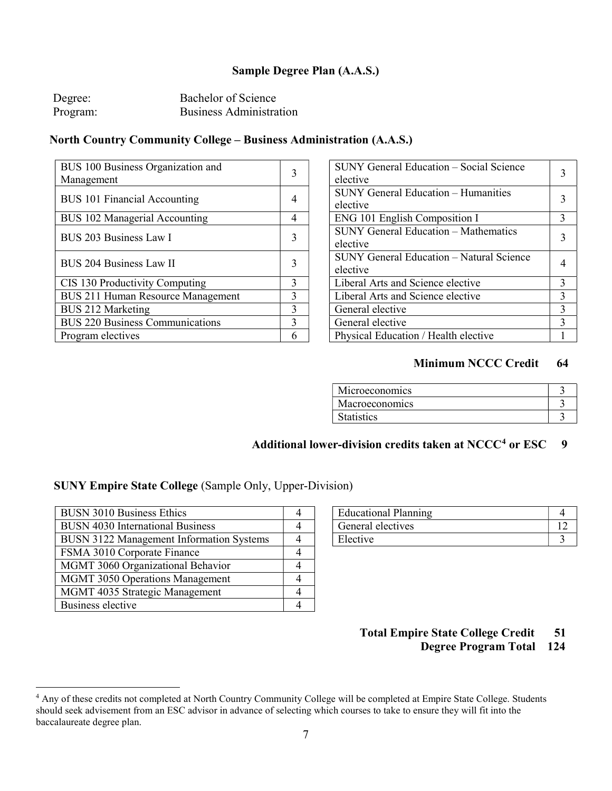### **Sample Degree Plan (A.A.S.)**

| Degree:  | Bachelor of Science            |
|----------|--------------------------------|
| Program: | <b>Business Administration</b> |

### **North Country Community College – Business Administration (A.A.S.)**

| BUS 100 Business Organization and        |   | <b>SUNY General Education - Social Science</b>          |                |
|------------------------------------------|---|---------------------------------------------------------|----------------|
| Management                               | 3 | elective                                                | 3              |
| <b>BUS 101 Financial Accounting</b>      |   | <b>SUNY General Education – Humanities</b><br>elective  | 3              |
| BUS 102 Managerial Accounting            | 4 | ENG 101 English Composition I                           | $\mathcal{E}$  |
| BUS 203 Business Law I                   |   | <b>SUNY General Education - Mathematics</b><br>elective | $\overline{3}$ |
| <b>BUS 204 Business Law II</b>           |   | SUNY General Education - Natural Science<br>elective    | $\overline{4}$ |
| CIS 130 Productivity Computing           | 3 | Liberal Arts and Science elective                       | $\mathcal{E}$  |
| <b>BUS 211 Human Resource Management</b> | 3 | Liberal Arts and Science elective                       | 3              |
| BUS 212 Marketing                        | 3 | General elective                                        | 3              |
| <b>BUS 220 Business Communications</b>   | 3 | General elective                                        | $\mathcal{E}$  |
| Program electives                        | 6 | Physical Education / Health elective                    |                |

| SUNY General Education - Social Science<br>elective     |               |
|---------------------------------------------------------|---------------|
| <b>SUNY General Education – Humanities</b><br>elective  | 3             |
| <b>ENG 101 English Composition I</b>                    | 3             |
| <b>SUNY General Education - Mathematics</b><br>elective | 3             |
| SUNY General Education - Natural Science<br>elective    |               |
| Liberal Arts and Science elective                       | 3             |
| Liberal Arts and Science elective                       | 3             |
| General elective                                        | $\mathcal{E}$ |
| General elective                                        | $\mathbf 3$   |
| Physical Education / Health elective                    |               |

### **Minimum NCCC Credit 64**

## Additional lower-division credits taken at NCCC<sup>4</sup> or ESC 9

### **SUNY Empire State College** (Sample Only, Upper-Division)

| <b>BUSN 3010 Business Ethics</b>         | <b>Educational Planning</b> |  |
|------------------------------------------|-----------------------------|--|
| <b>BUSN 4030 International Business</b>  | General electives           |  |
| BUSN 3122 Management Information Systems | Elective                    |  |
| FSMA 3010 Corporate Finance              |                             |  |
| MGMT 3060 Organizational Behavior        |                             |  |
| <b>MGMT 3050 Operations Management</b>   |                             |  |
| MGMT 4035 Strategic Management           |                             |  |
| Business elective                        |                             |  |

 $\overline{a}$ 

| <b>Educational Planning</b> |  |
|-----------------------------|--|
| General electives           |  |
| Elective                    |  |

### **Total Empire State College Credit 51 Degree Program Total 124**

<sup>&</sup>lt;sup>4</sup> Any of these credits not completed at North Country Community College will be completed at Empire State College. Students should seek advisement from an ESC advisor in advance of selecting which courses to take to ensure they will fit into the baccalaureate degree plan.